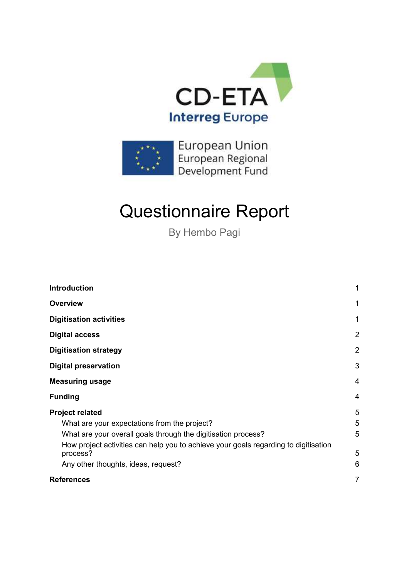



# Questionnaire Report

By Hembo Pagi

| <b>Introduction</b>                                                                                           | 1              |
|---------------------------------------------------------------------------------------------------------------|----------------|
| <b>Overview</b>                                                                                               | 1              |
| <b>Digitisation activities</b>                                                                                | 1              |
| <b>Digital access</b>                                                                                         | $\overline{2}$ |
| <b>Digitisation strategy</b>                                                                                  | $\overline{2}$ |
| <b>Digital preservation</b>                                                                                   | 3              |
| <b>Measuring usage</b>                                                                                        | $\overline{4}$ |
| <b>Funding</b>                                                                                                | $\overline{4}$ |
| <b>Project related</b>                                                                                        | 5              |
| What are your expectations from the project?<br>What are your overall goals through the digitisation process? | 5<br>5         |
| How project activities can help you to achieve your goals regarding to digitisation<br>process?               | 5              |
| Any other thoughts, ideas, request?                                                                           | 6              |
| <b>References</b>                                                                                             | 7              |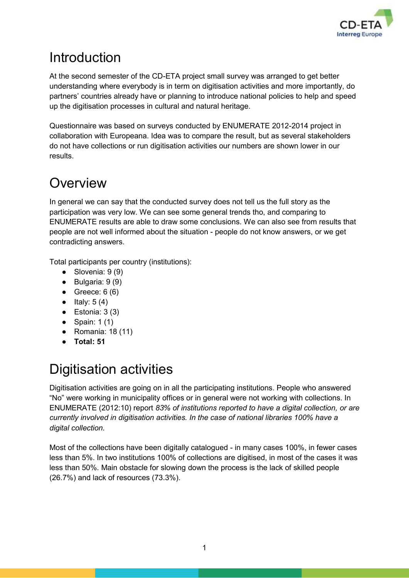

# <span id="page-1-0"></span>**Introduction**

At the second semester of the CD-ETA project small survey was arranged to get better understanding where everybody is in term on digitisation activities and more importantly, do partners' countries already have or planning to introduce national policies to help and speed up the digitisation processes in cultural and natural heritage.

Questionnaire was based on surveys conducted by ENUMERATE 2012-2014 project in collaboration with Europeana. Idea was to compare the result, but as several stakeholders do not have collections or run digitisation activities our numbers are shown lower in our results.

# <span id="page-1-1"></span>**Overview**

In general we can say that the conducted survey does not tell us the full story as the participation was very low. We can see some general trends tho, and comparing to ENUMERATE results are able to draw some conclusions. We can also see from results that people are not well informed about the situation - people do not know answers, or we get contradicting answers.

Total participants per country (institutions):

- $\bullet$  Slovenia: 9 (9)
- Bulgaria: 9 (9)
- $\bullet$  Greece: 6 (6)
- $\bullet$  Italy: 5 (4)
- $\bullet$  Estonia: 3 (3)
- $\bullet$  Spain: 1(1)
- Romania: 18 (11)
- **Total: 51**

# <span id="page-1-2"></span>Digitisation activities

Digitisation activities are going on in all the participating institutions. People who answered "No" were working in municipality offices or in general were not working with collections. In ENUMERATE (2012:10) report *83% of institutions reported to have a digital collection, or are currently involved in digitisation activities. In the case of national libraries 100% have a digital collection.*

Most of the collections have been digitally catalogued - in many cases 100%, in fewer cases less than 5%. In two institutions 100% of collections are digitised, in most of the cases it was less than 50%. Main obstacle for slowing down the process is the lack of skilled people (26.7%) and lack of resources (73.3%).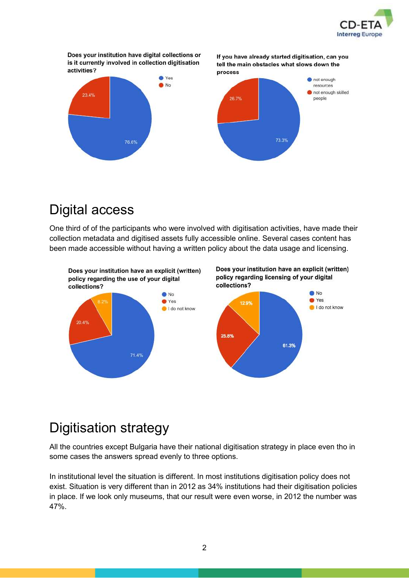

Does your institution have digital collections or is it currently involved in collection digitisation activities?



If you have already started digitisation, can you

tell the main obstacles what slows down the

### <span id="page-2-0"></span>Digital access

One third of of the participants who were involved with digitisation activities, have made their collection metadata and digitised assets fully accessible online. Several cases content has been made accessible without having a written policy about the data usage and licensing.



# <span id="page-2-1"></span>Digitisation strategy

All the countries except Bulgaria have their national digitisation strategy in place even tho in some cases the answers spread evenly to three options.

In institutional level the situation is different. In most institutions digitisation policy does not exist. Situation is very different than in 2012 as 34% institutions had their digitisation policies in place. If we look only museums, that our result were even worse, in 2012 the number was 47%.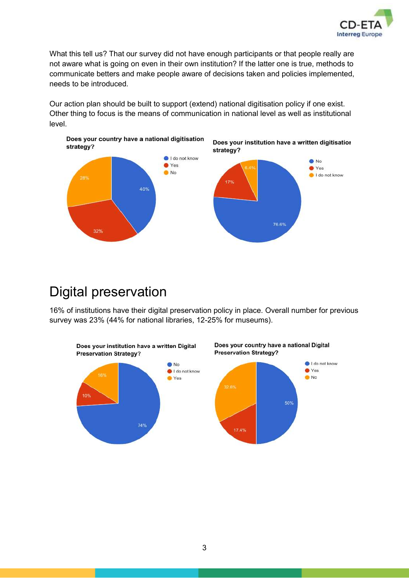

What this tell us? That our survey did not have enough participants or that people really are not aware what is going on even in their own institution? If the latter one is true, methods to communicate betters and make people aware of decisions taken and policies implemented, needs to be introduced.

Our action plan should be built to support (extend) national digitisation policy if one exist. Other thing to focus is the means of communication in national level as well as institutional level.



### <span id="page-3-0"></span>Digital preservation

16% of institutions have their digital preservation policy in place. Overall number for previous survey was 23% (44% for national libraries, 12-25% for museums).

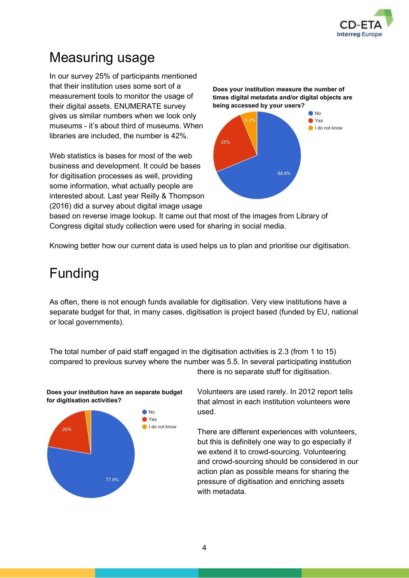

# <span id="page-4-0"></span>Measuring usage

In our survey 25% of participants mentioned that their institution uses some sort of a measurement tools to monitor the usage of their digital assets. ENUMERATE survey gives us similar numbers when we look only museums - it's about third of museums. When libraries are included, the number is 42%.

Web statistics is bases for most of the web business and development. It could be bases for digitisation processes as well, providing some information, what actually people are interested about. Last year Reilly & Thompson (2016) did a survey about digital image usage





based on reverse image lookup. It came out that most of the images from Library of Congress digital study collection were used for sharing in social media.

<span id="page-4-1"></span>Knowing better how our current data is used helps us to plan and prioritise our digitisation.

### Funding

As often, there is not enough funds available for digitisation. Very view institutions have a separate budget for that, in many cases, digitisation is project based (funded by EU, national or local governments).

The total number of paid staff engaged in the digitisation activities is 2.3 (from 1 to 15) compared to previous survey where the number was 5.5. In several participating institution there is no separate stuff for digitisation.



Does your institution have an separate budget for digitisation activities?

Volunteers are used rarely. In 2012 report tells that almost in each institution volunteers were used.

There are different experiences with volunteers, but this is definitely one way to go especially if we extend it to crowd-sourcing. Volunteering and crowd-sourcing should be considered in our action plan as possible means for sharing the pressure of digitisation and enriching assets with metadata.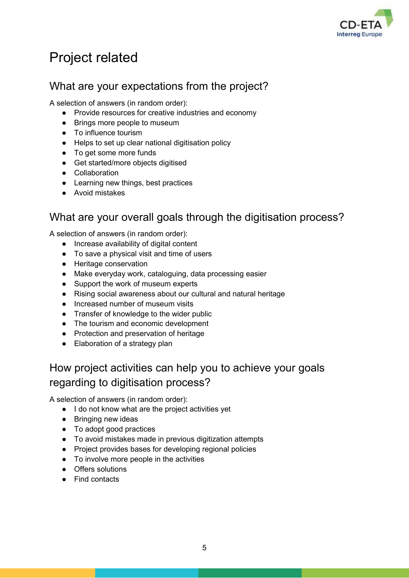

# <span id="page-5-0"></span>Project related

#### <span id="page-5-1"></span>What are your expectations from the project?

A selection of answers (in random order):

- Provide resources for creative industries and economy
- Brings more people to museum
- To influence tourism
- Helps to set up clear national digitisation policy
- To get some more funds
- Get started/more objects digitised
- Collaboration
- Learning new things, best practices
- Avoid mistakes

#### <span id="page-5-2"></span>What are your overall goals through the digitisation process?

A selection of answers (in random order):

- Increase availability of digital content
- To save a physical visit and time of users
- Heritage conservation
- Make everyday work, cataloguing, data processing easier
- Support the work of museum experts
- Rising social awareness about our cultural and natural heritage
- Increased number of museum visits
- Transfer of knowledge to the wider public
- The tourism and economic development
- Protection and preservation of heritage
- Elaboration of a strategy plan

### <span id="page-5-3"></span>How project activities can help you to achieve your goals regarding to digitisation process?

A selection of answers (in random order):

- I do not know what are the project activities yet
- Bringing new ideas
- To adopt good practices
- To avoid mistakes made in previous digitization attempts
- Project provides bases for developing regional policies
- To involve more people in the activities
- Offers solutions
- Find contacts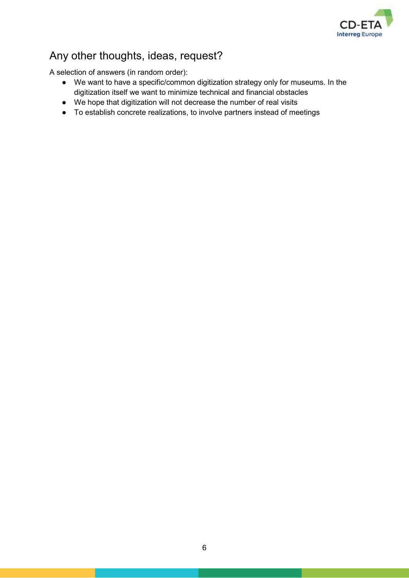

#### <span id="page-6-0"></span>Any other thoughts, ideas, request?

A selection of answers (in random order):

- We want to have a specific/common digitization strategy only for museums. In the digitization itself we want to minimize technical and financial obstacles
- We hope that digitization will not decrease the number of real visits
- To establish concrete realizations, to involve partners instead of meetings